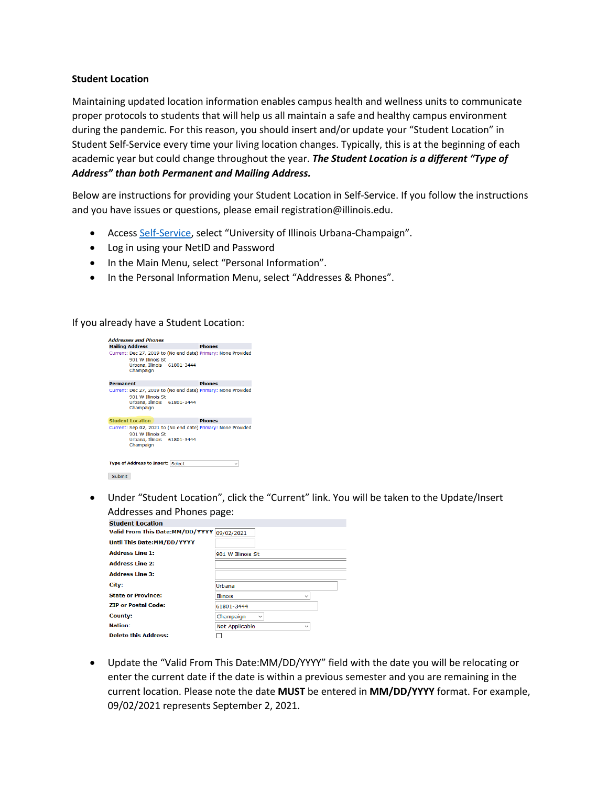## **Student Location**

Maintaining updated location information enables campus health and wellness units to communicate proper protocols to students that will help us all maintain a safe and healthy campus environment during the pandemic. For this reason, you should insert and/or update your "Student Location" in Student Self-Service every time your living location changes. Typically, this is at the beginning of each academic year but could change throughout the year. *The Student Location is a different "Type of Address" than both Permanent and Mailing Address.*

Below are instructions for providing your Student Location in Self-Service. If you follow the instructions and you have issues or questions, please email registration@illinois.edu.

- Access Self-Service, select "University of Illinois Urbana-Champaign".
- Log in using your NetID and Password
- In the Main Menu, select "Personal Information".
- In the Personal Information Menu, select "Addresses & Phones".

If you already have a Student Location:



• Under "Student Location", click the "Current" link. You will be taken to the Update/Insert Addresses and Phones page:

| <b>Student Location</b>                    |                                       |
|--------------------------------------------|---------------------------------------|
| Valid From This Date:MM/DD/YYYY 09/02/2021 |                                       |
| Until This Date: MM/DD/YYYY                |                                       |
| <b>Address Line 1:</b>                     | 901 W Illinois St                     |
| <b>Address Line 2:</b>                     |                                       |
| <b>Address Line 3:</b>                     |                                       |
| City:                                      | Urbana                                |
|                                            |                                       |
| <b>State or Province:</b>                  | <b>Illinois</b>                       |
| <b>ZIP or Postal Code:</b>                 | 61801-3444                            |
| County:                                    | Champaign<br>$\checkmark$             |
| <b>Nation:</b>                             | <b>Not Applicable</b><br>$\checkmark$ |

• Update the "Valid From This Date:MM/DD/YYYY" field with the date you will be relocating or enter the current date if the date is within a previous semester and you are remaining in the current location. Please note the date **MUST** be entered in **MM/DD/YYYY** format. For example, 09/02/2021 represents September 2, 2021.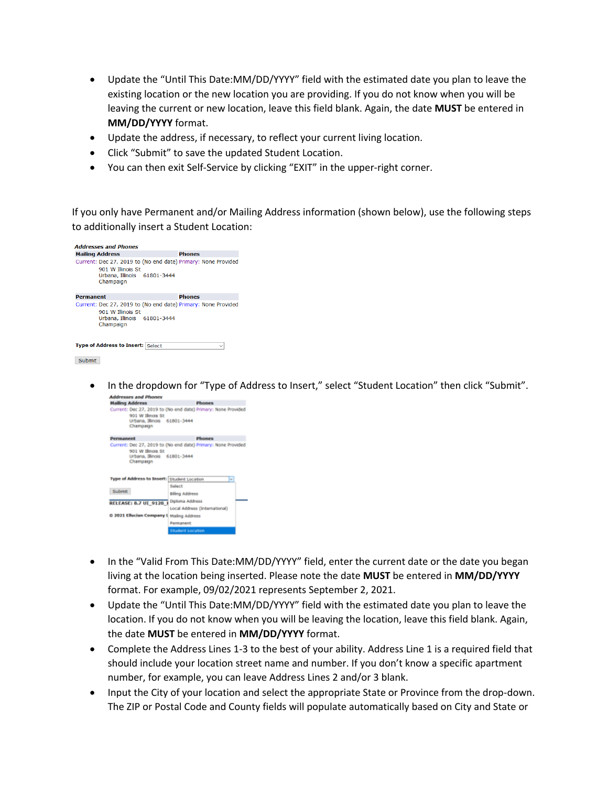- Update the "Until This Date:MM/DD/YYYY" field with the estimated date you plan to leave the existing location or the new location you are providing. If you do not know when you will be leaving the current or new location, leave this field blank. Again, the date **MUST** be entered in **MM/DD/YYYY** format.
- Update the address, if necessary, to reflect your current living location.
- Click "Submit" to save the updated Student Location.
- You can then exit Self-Service by clicking "EXIT" in the upper-right corner.

If you only have Permanent and/or Mailing Address information (shown below), use the following steps to additionally insert a Student Location:

| <b>Addresses and Phones</b>                                                                                                    |               |              |
|--------------------------------------------------------------------------------------------------------------------------------|---------------|--------------|
| <b>Mailing Address</b>                                                                                                         | <b>Phones</b> |              |
| Current: Dec 27, 2019 to (No end date) Primary: None Provided<br>901 W Illinois St<br>Urbana, Illinois 61801-3444<br>Champaign |               |              |
| Permanent                                                                                                                      | <b>Phones</b> |              |
| Current: Dec 27, 2019 to (No end date) Primary: None Provided<br>901 W Illinois St<br>Urbana, Illinois 61801-3444<br>Champaign |               |              |
| <b>Type of Address to Insert: Select</b>                                                                                       |               | $\checkmark$ |
| Submit                                                                                                                         |               |              |

• In the dropdown for "Type of Address to Insert," select "Student Location" then click "Submit".



- In the "Valid From This Date: MM/DD/YYYY" field, enter the current date or the date you began living at the location being inserted. Please note the date **MUST** be entered in **MM/DD/YYYY** format. For example, 09/02/2021 represents September 2, 2021.
- Update the "Until This Date:MM/DD/YYYY" field with the estimated date you plan to leave the location. If you do not know when you will be leaving the location, leave this field blank. Again, the date **MUST** be entered in **MM/DD/YYYY** format.
- Complete the Address Lines 1-3 to the best of your ability. Address Line 1 is a required field that should include your location street name and number. If you don't know a specific apartment number, for example, you can leave Address Lines 2 and/or 3 blank.
- Input the City of your location and select the appropriate State or Province from the drop-down. The ZIP or Postal Code and County fields will populate automatically based on City and State or